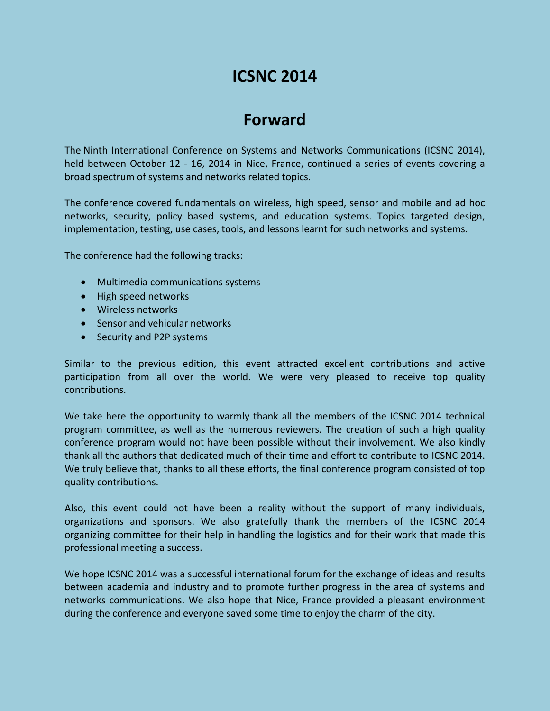# **ICSNC 2014**

# **Forward**

The Ninth International Conference on Systems and Networks Communications (ICSNC 2014), held between October 12 - 16, 2014 in Nice, France, continued a series of events covering a broad spectrum of systems and networks related topics.

The conference covered fundamentals on wireless, high speed, sensor and mobile and ad hoc networks, security, policy based systems, and education systems. Topics targeted design, implementation, testing, use cases, tools, and lessons learnt for such networks and systems.

The conference had the following tracks:

- Multimedia communications systems
- High speed networks
- Wireless networks
- Sensor and vehicular networks
- Security and P2P systems

Similar to the previous edition, this event attracted excellent contributions and active participation from all over the world. We were very pleased to receive top quality contributions.

We take here the opportunity to warmly thank all the members of the ICSNC 2014 technical program committee, as well as the numerous reviewers. The creation of such a high quality conference program would not have been possible without their involvement. We also kindly thank all the authors that dedicated much of their time and effort to contribute to ICSNC 2014. We truly believe that, thanks to all these efforts, the final conference program consisted of top quality contributions.

Also, this event could not have been a reality without the support of many individuals, organizations and sponsors. We also gratefully thank the members of the ICSNC 2014 organizing committee for their help in handling the logistics and for their work that made this professional meeting a success.

We hope ICSNC 2014 was a successful international forum for the exchange of ideas and results between academia and industry and to promote further progress in the area of systems and networks communications. We also hope that Nice, France provided a pleasant environment during the conference and everyone saved some time to enjoy the charm of the city.